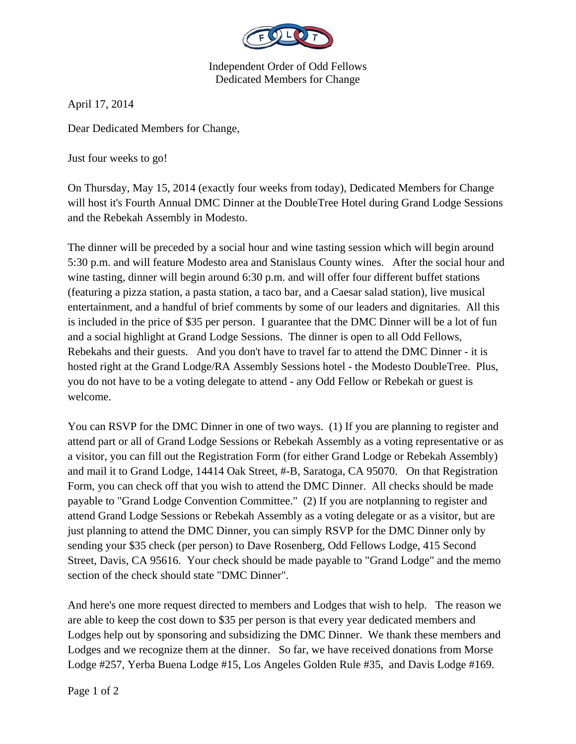

Independent Order of Odd Fellows Dedicated Members for Change

April 17, 2014

Dear Dedicated Members for Change,

Just four weeks to go!

On Thursday, May 15, 2014 (exactly four weeks from today), Dedicated Members for Change will host it's Fourth Annual DMC Dinner at the DoubleTree Hotel during Grand Lodge Sessions and the Rebekah Assembly in Modesto.

The dinner will be preceded by a social hour and wine tasting session which will begin around 5:30 p.m. and will feature Modesto area and Stanislaus County wines. After the social hour and wine tasting, dinner will begin around 6:30 p.m. and will offer four different buffet stations (featuring a pizza station, a pasta station, a taco bar, and a Caesar salad station), live musical entertainment, and a handful of brief comments by some of our leaders and dignitaries. All this is included in the price of \$35 per person. I guarantee that the DMC Dinner will be a lot of fun and a social highlight at Grand Lodge Sessions. The dinner is open to all Odd Fellows, Rebekahs and their guests. And you don't have to travel far to attend the DMC Dinner - it is hosted right at the Grand Lodge/RA Assembly Sessions hotel - the Modesto DoubleTree. Plus, you do not have to be a voting delegate to attend - any Odd Fellow or Rebekah or guest is welcome.

You can RSVP for the DMC Dinner in one of two ways. (1) If you are planning to register and attend part or all of Grand Lodge Sessions or Rebekah Assembly as a voting representative or as a visitor, you can fill out the Registration Form (for either Grand Lodge or Rebekah Assembly) and mail it to Grand Lodge, 14414 Oak Street, #-B, Saratoga, CA 95070. On that Registration Form, you can check off that you wish to attend the DMC Dinner. All checks should be made payable to "Grand Lodge Convention Committee." (2) If you are notplanning to register and attend Grand Lodge Sessions or Rebekah Assembly as a voting delegate or as a visitor, but are just planning to attend the DMC Dinner, you can simply RSVP for the DMC Dinner only by sending your \$35 check (per person) to Dave Rosenberg, Odd Fellows Lodge, 415 Second Street, Davis, CA 95616. Your check should be made payable to "Grand Lodge" and the memo section of the check should state "DMC Dinner".

And here's one more request directed to members and Lodges that wish to help. The reason we are able to keep the cost down to \$35 per person is that every year dedicated members and Lodges help out by sponsoring and subsidizing the DMC Dinner. We thank these members and Lodges and we recognize them at the dinner. So far, we have received donations from Morse Lodge #257, Yerba Buena Lodge #15, Los Angeles Golden Rule #35, and Davis Lodge #169.